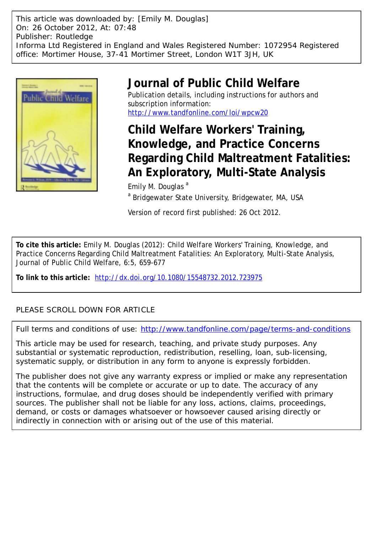This article was downloaded by: [Emily M. Douglas] On: 26 October 2012, At: 07:48 Publisher: Routledge Informa Ltd Registered in England and Wales Registered Number: 1072954 Registered office: Mortimer House, 37-41 Mortimer Street, London W1T 3JH, UK



# **Journal of Public Child Welfare**

Publication details, including instructions for authors and subscription information: <http://www.tandfonline.com/loi/wpcw20>

**Child Welfare Workers' Training, Knowledge, and Practice Concerns Regarding Child Maltreatment Fatalities: An Exploratory, Multi-State Analysis**

Emily M. Douglas<sup>a</sup>

<sup>a</sup> Bridgewater State University, Bridgewater, MA, USA

Version of record first published: 26 Oct 2012.

**To cite this article:** Emily M. Douglas (2012): Child Welfare Workers' Training, Knowledge, and Practice Concerns Regarding Child Maltreatment Fatalities: An Exploratory, Multi-State Analysis, Journal of Public Child Welfare, 6:5, 659-677

**To link to this article:** <http://dx.doi.org/10.1080/15548732.2012.723975>

## PLEASE SCROLL DOWN FOR ARTICLE

Full terms and conditions of use:<http://www.tandfonline.com/page/terms-and-conditions>

This article may be used for research, teaching, and private study purposes. Any substantial or systematic reproduction, redistribution, reselling, loan, sub-licensing, systematic supply, or distribution in any form to anyone is expressly forbidden.

The publisher does not give any warranty express or implied or make any representation that the contents will be complete or accurate or up to date. The accuracy of any instructions, formulae, and drug doses should be independently verified with primary sources. The publisher shall not be liable for any loss, actions, claims, proceedings, demand, or costs or damages whatsoever or howsoever caused arising directly or indirectly in connection with or arising out of the use of this material.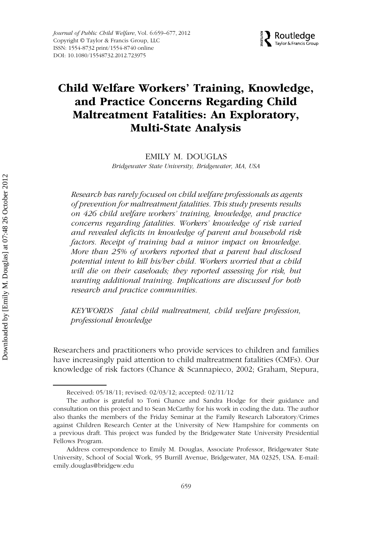

## Child Welfare Workers' Training, Knowledge, and Practice Concerns Regarding Child Maltreatment Fatalities: An Exploratory, Multi-State Analysis

## EMILY M. DOUGLAS

Bridgewater State University, Bridgewater, MA, USA

Research has rarely focused on child welfare professionals as agents of prevention for maltreatment fatalities. This study presents results on 426 child welfare workers' training, knowledge, and practice concerns regarding fatalities. Workers' knowledge of risk varied and revealed deficits in knowledge of parent and household risk factors. Receipt of training had a minor impact on knowledge. More than 25% of workers reported that a parent had disclosed potential intent to kill his/her child. Workers worried that a child will die on their caseloads; they reported assessing for risk, but wanting additional training. Implications are discussed for both research and practice communities.

KEYWORDS fatal child maltreatment, child welfare profession, professional knowledge

Researchers and practitioners who provide services to children and families have increasingly paid attention to child maltreatment fatalities (CMFs). Our knowledge of risk factors (Chance & Scannapieco, 2002; Graham, Stepura,

Received: 05/18/11; revised: 02/03/12; accepted: 02/11/12

The author is grateful to Toni Chance and Sandra Hodge for their guidance and consultation on this project and to Sean McCarthy for his work in coding the data. The author also thanks the members of the Friday Seminar at the Family Research Laboratory/Crimes against Children Research Center at the University of New Hampshire for comments on a previous draft. This project was funded by the Bridgewater State University Presidential Fellows Program.

Address correspondence to Emily M. Douglas, Associate Professor, Bridgewater State University, School of Social Work, 95 Burrill Avenue, Bridgewater, MA 02325, USA. E-mail: emily.douglas@bridgew.edu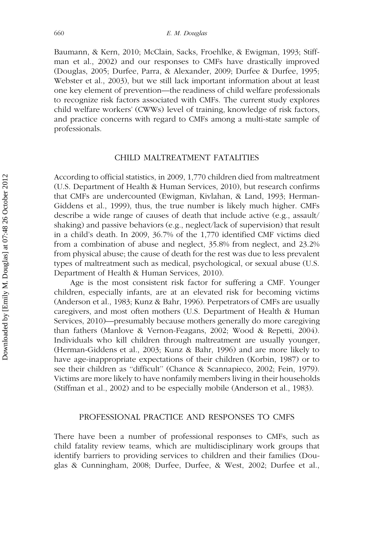Baumann, & Kern, 2010; McClain, Sacks, Froehlke, & Ewigman, 1993; Stiffman et al., 2002) and our responses to CMFs have drastically improved (Douglas, 2005; Durfee, Parra, & Alexander, 2009; Durfee & Durfee, 1995; Webster et al., 2003), but we still lack important information about at least one key element of prevention—the readiness of child welfare professionals to recognize risk factors associated with CMFs. The current study explores child welfare workers' (CWWs) level of training, knowledge of risk factors, and practice concerns with regard to CMFs among a multi-state sample of professionals.

### CHILD MALTREATMENT FATALITIES

According to official statistics, in 2009, 1,770 children died from maltreatment (U.S. Department of Health & Human Services, 2010), but research confirms that CMFs are undercounted (Ewigman, Kivlahan, & Land, 1993; Herman-Giddens et al., 1999), thus, the true number is likely much higher. CMFs describe a wide range of causes of death that include active (e.g., assault/ shaking) and passive behaviors (e.g., neglect/lack of supervision) that result in a child's death. In 2009, 36.7% of the 1,770 identified CMF victims died from a combination of abuse and neglect, 35.8% from neglect, and 23.2% from physical abuse; the cause of death for the rest was due to less prevalent types of maltreatment such as medical, psychological, or sexual abuse (U.S. Department of Health & Human Services, 2010).

Age is the most consistent risk factor for suffering a CMF. Younger children, especially infants, are at an elevated risk for becoming victims (Anderson et al., 1983; Kunz & Bahr, 1996). Perpetrators of CMFs are usually caregivers, and most often mothers (U.S. Department of Health & Human Services, 2010)—presumably because mothers generally do more caregiving than fathers (Manlove & Vernon-Feagans, 2002; Wood & Repetti, 2004). Individuals who kill children through maltreatment are usually younger, (Herman-Giddens et al., 2003; Kunz & Bahr, 1996) and are more likely to have age-inappropriate expectations of their children (Korbin, 1987) or to see their children as ''difficult'' (Chance & Scannapieco, 2002; Fein, 1979). Victims are more likely to have nonfamily members living in their households (Stiffman et al., 2002) and to be especially mobile (Anderson et al., 1983).

#### PROFESSIONAL PRACTICE AND RESPONSES TO CMFS

There have been a number of professional responses to CMFs, such as child fatality review teams, which are multidisciplinary work groups that identify barriers to providing services to children and their families (Douglas & Cunningham, 2008; Durfee, Durfee, & West, 2002; Durfee et al.,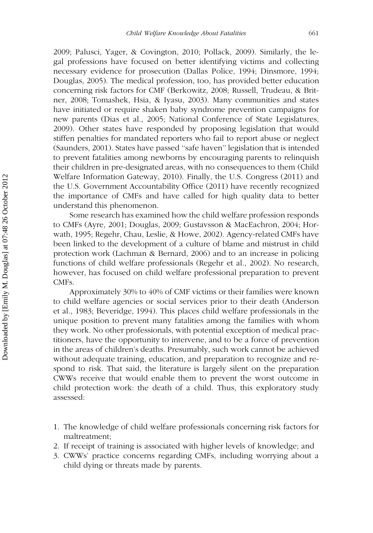2009; Palusci, Yager, & Covington, 2010; Pollack, 2009). Similarly, the legal professions have focused on better identifying victims and collecting necessary evidence for prosecution (Dallas Police, 1994; Dinsmore, 1994; Douglas, 2005). The medical profession, too, has provided better education concerning risk factors for CMF (Berkowitz, 2008; Russell, Trudeau, & Britner, 2008; Tomashek, Hsia, & Iyasu, 2003). Many communities and states have initiated or require shaken baby syndrome prevention campaigns for new parents (Dias et al., 2005; National Conference of State Legislatures, 2009). Other states have responded by proposing legislation that would stiffen penalties for mandated reporters who fail to report abuse or neglect (Saunders, 2001). States have passed ''safe haven'' legislation that is intended to prevent fatalities among newborns by encouraging parents to relinquish their children in pre-designated areas, with no consequences to them (Child Welfare Information Gateway, 2010). Finally, the U.S. Congress (2011) and the U.S. Government Accountability Office (2011) have recently recognized the importance of CMFs and have called for high quality data to better understand this phenomenon.

Some research has examined how the child welfare profession responds to CMFs (Ayre, 2001; Douglas, 2009; Gustavsson & MacEachron, 2004; Horwath, 1995; Regehr, Chau, Leslie, & Howe, 2002). Agency-related CMFs have been linked to the development of a culture of blame and mistrust in child protection work (Lachman & Bernard, 2006) and to an increase in policing functions of child welfare professionals (Regehr et al., 2002). No research, however, has focused on child welfare professional preparation to prevent CMFs.

Approximately 30% to 40% of CMF victims or their families were known to child welfare agencies or social services prior to their death (Anderson et al., 1983; Beveridge, 1994). This places child welfare professionals in the unique position to prevent many fatalities among the families with whom they work. No other professionals, with potential exception of medical practitioners, have the opportunity to intervene, and to be a force of prevention in the areas of children's deaths. Presumably, such work cannot be achieved without adequate training, education, and preparation to recognize and respond to risk. That said, the literature is largely silent on the preparation CWWs receive that would enable them to prevent the worst outcome in child protection work: the death of a child. Thus, this exploratory study assessed:

- 1. The knowledge of child welfare professionals concerning risk factors for maltreatment;
- 2. If receipt of training is associated with higher levels of knowledge; and
- 3. CWWs' practice concerns regarding CMFs, including worrying about a child dying or threats made by parents.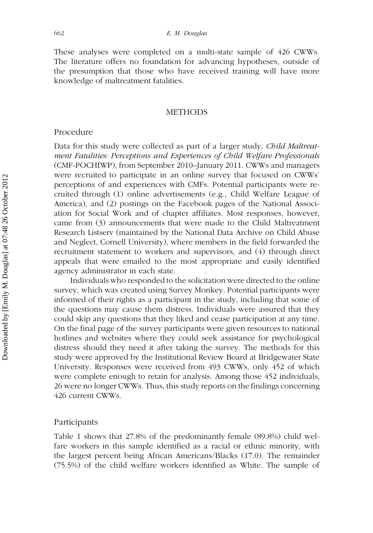These analyses were completed on a multi-state sample of 426 CWWs. The literature offers no foundation for advancing hypotheses, outside of the presumption that those who have received training will have more knowledge of maltreatment fatalities.

## **METHODS**

## Procedure

Data for this study were collected as part of a larger study, Child Maltreatment Fatalities: Perceptions and Experiences of Child Welfare Professionals (CMF-POCHIWP), from September 2010–January 2011. CWWs and managers were recruited to participate in an online survey that focused on CWWs' perceptions of and experiences with CMFs. Potential participants were recruited through (1) online advertisements (e.g., Child Welfare League of America), and (2) postings on the Facebook pages of the National Association for Social Work and of chapter affiliates. Most responses, however, came from (3) announcements that were made to the Child Maltreatment Research Listserv (maintained by the National Data Archive on Child Abuse and Neglect, Cornell University), where members in the field forwarded the recruitment statement to workers and supervisors, and (4) through direct appeals that were emailed to the most appropriate and easily identified agency administrator in each state.

Individuals who responded to the solicitation were directed to the online survey, which was created using Survey Monkey. Potential participants were informed of their rights as a participant in the study, including that some of the questions may cause them distress. Individuals were assured that they could skip any questions that they liked and cease participation at any time. On the final page of the survey participants were given resources to national hotlines and websites where they could seek assistance for psychological distress should they need it after taking the survey. The methods for this study were approved by the Institutional Review Board at Bridgewater State University. Responses were received from 493 CWWs, only 452 of which were complete enough to retain for analysis. Among those 452 individuals, 26 were no longer CWWs. Thus, this study reports on the findings concerning 426 current CWWs.

#### Participants

Table 1 shows that 27.8% of the predominantly female (89.8%) child welfare workers in this sample identified as a racial or ethnic minority, with the largest percent being African Americans/Blacks (17.0). The remainder (75.5%) of the child welfare workers identified as White. The sample of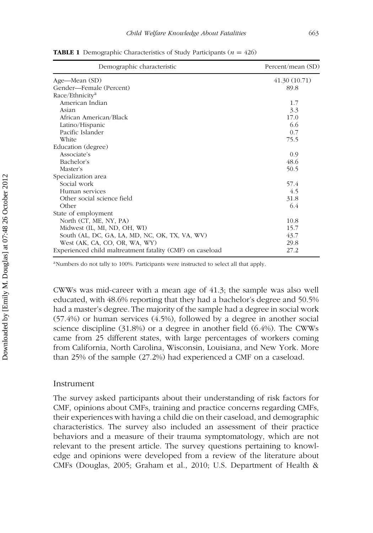| Demographic characteristic                                | Percent/mean (SD) |
|-----------------------------------------------------------|-------------------|
| Age—Mean (SD)                                             | 41.30 (10.71)     |
| Gender-Female (Percent)                                   | 89.8              |
| Race/Ethnicity <sup>a</sup>                               |                   |
| American Indian                                           | 1.7               |
| Asian                                                     | 3.3               |
| African American/Black                                    | 17.0              |
| Latino/Hispanic                                           | 6.6               |
| Pacific Islander                                          | 0.7               |
| White                                                     | 75.5              |
| Education (degree)                                        |                   |
| Associate's                                               | 0.9               |
| Bachelor's                                                | 48.6              |
| Master's                                                  | 50.5              |
| Specialization area                                       |                   |
| Social work                                               | 57.4              |
| Human services                                            | 4.5               |
| Other social science field                                | 31.8              |
| Other                                                     | 6.4               |
| State of employment                                       |                   |
| North (CT, ME, NY, PA)                                    | 10.8              |
| Midwest (IL, MI, ND, OH, WI)                              | 15.7              |
| South (AL, DC, GA, LA, MD, NC, OK, TX, VA, WV)            | 43.7              |
| West (AK, CA, CO, OR, WA, WY)                             | 29.8              |
| Experienced child maltreatment fatality (CMF) on caseload | 27.2              |

**TABLE 1** Demographic Characteristics of Study Participants ( $n = 426$ )

<sup>a</sup>Numbers do not tally to 100%. Participants were instructed to select all that apply.

CWWs was mid-career with a mean age of 41.3; the sample was also well educated, with 48.6% reporting that they had a bachelor's degree and 50.5% had a master's degree. The majority of the sample had a degree in social work (57.4%) or human services (4.5%), followed by a degree in another social science discipline (31.8%) or a degree in another field (6.4%). The CWWs came from 25 different states, with large percentages of workers coming from California, North Carolina, Wisconsin, Louisiana, and New York. More than 25% of the sample (27.2%) had experienced a CMF on a caseload.

#### Instrument

The survey asked participants about their understanding of risk factors for CMF, opinions about CMFs, training and practice concerns regarding CMFs, their experiences with having a child die on their caseload, and demographic characteristics. The survey also included an assessment of their practice behaviors and a measure of their trauma symptomatology, which are not relevant to the present article. The survey questions pertaining to knowledge and opinions were developed from a review of the literature about CMFs (Douglas, 2005; Graham et al., 2010; U.S. Department of Health &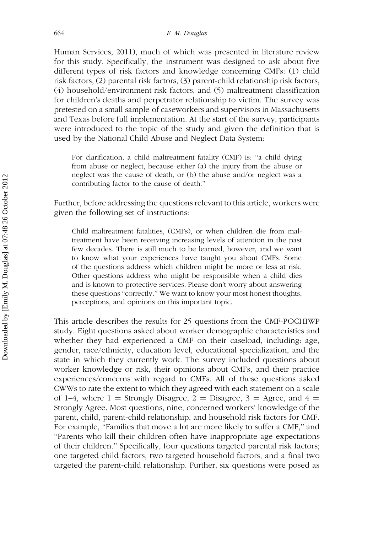Human Services, 2011), much of which was presented in literature review for this study. Specifically, the instrument was designed to ask about five different types of risk factors and knowledge concerning CMFs: (1) child risk factors, (2) parental risk factors, (3) parent-child relationship risk factors, (4) household/environment risk factors, and (5) maltreatment classification for children's deaths and perpetrator relationship to victim. The survey was pretested on a small sample of caseworkers and supervisors in Massachusetts and Texas before full implementation. At the start of the survey, participants were introduced to the topic of the study and given the definition that is used by the National Child Abuse and Neglect Data System:

For clarification, a child maltreatment fatality (CMF) is: ''a child dying from abuse or neglect, because either (a) the injury from the abuse or neglect was the cause of death, or (b) the abuse and/or neglect was a contributing factor to the cause of death.''

Further, before addressing the questions relevant to this article, workers were given the following set of instructions:

Child maltreatment fatalities, (CMFs), or when children die from maltreatment have been receiving increasing levels of attention in the past few decades. There is still much to be learned, however, and we want to know what your experiences have taught you about CMFs. Some of the questions address which children might be more or less at risk. Other questions address who might be responsible when a child dies and is known to protective services. Please don't worry about answering these questions ''correctly.'' We want to know your most honest thoughts, perceptions, and opinions on this important topic.

This article describes the results for 25 questions from the CMF-POCHIWP study. Eight questions asked about worker demographic characteristics and whether they had experienced a CMF on their caseload, including: age, gender, race/ethnicity, education level, educational specialization, and the state in which they currently work. The survey included questions about worker knowledge or risk, their opinions about CMFs, and their practice experiences/concerns with regard to CMFs. All of these questions asked CWWs to rate the extent to which they agreed with each statement on a scale of 1–4, where 1 = Strongly Disagree, 2 = Disagree, 3 = Agree, and 4 = Strongly Agree. Most questions, nine, concerned workers' knowledge of the parent, child, parent-child relationship, and household risk factors for CMF. For example, "Families that move a lot are more likely to suffer a CMF," and ''Parents who kill their children often have inappropriate age expectations of their children.'' Specifically, four questions targeted parental risk factors; one targeted child factors, two targeted household factors, and a final two targeted the parent-child relationship. Further, six questions were posed as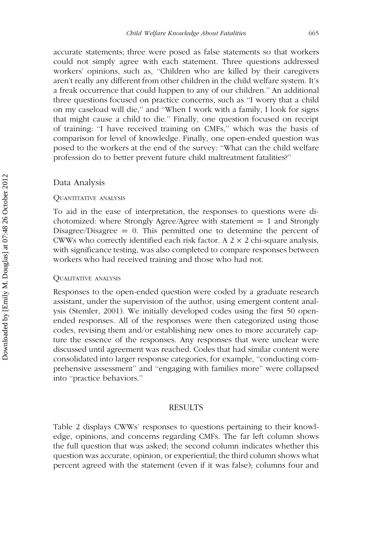accurate statements; three were posed as false statements so that workers could not simply agree with each statement. Three questions addressed workers' opinions, such as, ''Children who are killed by their caregivers aren't really any different from other children in the child welfare system. It's a freak occurrence that could happen to any of our children.'' An additional three questions focused on practice concerns, such as ''I worry that a child on my caseload will die,'' and ''When I work with a family, I look for signs that might cause a child to die.'' Finally, one question focused on receipt of training: ''I have received training on CMFs,'' which was the basis of comparison for level of knowledge. Finally, one open-ended question was posed to the workers at the end of the survey: ''What can the child welfare profession do to better prevent future child maltreatment fatalities?''

### Data Analysis

#### QUANTITATIVE ANALYSIS

To aid in the ease of interpretation, the responses to questions were dichotomized: where Strongly Agree/Agree with statement  $= 1$  and Strongly Disagree/Disagree  $= 0$ . This permitted one to determine the percent of CWWs who correctly identified each risk factor. A  $2 \times 2$  chi-square analysis, with significance testing, was also completed to compare responses between workers who had received training and those who had not.

## QUALITATIVE ANALYSIS

Responses to the open-ended question were coded by a graduate research assistant, under the supervision of the author, using emergent content analysis (Stemler, 2001). We initially developed codes using the first 50 openended responses. All of the responses were then categorized using those codes, revising them and/or establishing new ones to more accurately capture the essence of the responses. Any responses that were unclear were discussed until agreement was reached. Codes that had similar content were consolidated into larger response categories, for example, ''conducting comprehensive assessment'' and ''engaging with families more'' were collapsed into ''practice behaviors.''

## RESULTS

Table 2 displays CWWs' responses to questions pertaining to their knowledge, opinions, and concerns regarding CMFs. The far left column shows the full question that was asked; the second column indicates whether this question was accurate, opinion, or experiential; the third column shows what percent agreed with the statement (even if it was false); columns four and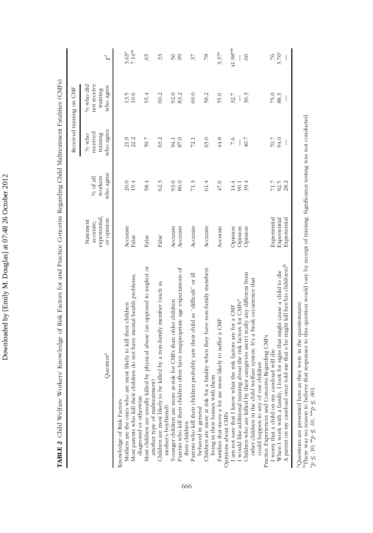| ֚֕֡                                       |
|-------------------------------------------|
|                                           |
| ֕<br>l<br>l                               |
| ١<br>Ó                                    |
| J<br>l                                    |
| ١                                         |
| l                                         |
| ł<br>J                                    |
| Ì                                         |
| ١<br>I<br>ļ                               |
| l<br>l                                    |
| ۱                                         |
| ١                                         |
| I                                         |
| l                                         |
| ֖֖֖֖ׅ֖֧ׅ֧֚֚֚֚֚֚֚֚֚֚֚֚֚֚֚֚֚֚֚֚֚֚֚֚֚֚֚֚֚֡֝֝ |
| Ï<br>٦                                    |
|                                           |
|                                           |
| i                                         |
| l                                         |
|                                           |
| ١                                         |
|                                           |
|                                           |
|                                           |
|                                           |
|                                           |
| ļ                                         |

TABLE 2 Child Welfare Workers' Knowledge of Risk Factors for and Practice Concerns Regarding Child Maltreatment Fatalities (CMFs) TABLE 2 Child Welfare Workers' Knowledge of Risk Factors for and Practice Concerns Regarding Child Maltreatment Fatalities (CMFs)

|                                                                                                                                                                                                    |                                                       |                                    |                                            | Received training on CMF                            |                                             |
|----------------------------------------------------------------------------------------------------------------------------------------------------------------------------------------------------|-------------------------------------------------------|------------------------------------|--------------------------------------------|-----------------------------------------------------|---------------------------------------------|
| Question <sup>a</sup>                                                                                                                                                                              | experiential,<br>or opinion<br>Statement<br>accurate, | who agree<br>workers<br>$%$ of all | who agree<br>received<br>training<br>% who | not receive<br>$%$ who did<br>who agree<br>training | $\chi^2$                                    |
| Most parents who kill their children do not have mental health problems,<br>Mothers are the ones who are most likely to kill their children<br>diagnosed or otherwise<br>Knowledge of Risk Factors | Accurate<br>False                                     | 20.0<br>19.4                       | 21.9<br>22.2                               | $13.5$<br>$10.6$                                    | $3.63$ **                                   |
| Most children are usually killed by physical abuse (as opposed to neglect or<br>another type of maltreatment)                                                                                      | False                                                 | 58.4                               | 59.7                                       | 55.4                                                | $\widetilde{6}$                             |
| Children are most likely to be killed by a non-family member (such as<br>mother's boyfriend)                                                                                                       | False                                                 | 62.3                               | 63.2                                       | 60.2                                                | 33                                          |
| Parents who kill their children often have inappropriate age expectations of<br>Younger children are more at-risk for CMFs than older children                                                     | Accurate<br>Accurate                                  | 93.6<br>86.0                       | 87.0<br>94.1                               | 92.0<br>83.2                                        | $\widetilde{\mathcal{S}}$<br>$\overline{0}$ |
| Parents who kill their children probably saw their child as "difficult" or ill<br>their children                                                                                                   | Accurate                                              | 71.3                               | 72.1                                       | 69.0                                                | .37                                         |
| behaved in general                                                                                                                                                                                 |                                                       |                                    |                                            |                                                     |                                             |
| Children are more at risk for a fatality when they have non-family members<br>living in their homes with them                                                                                      | Accurate                                              | 61.4                               | 63.0                                       | 58.2                                                | .78                                         |
| Families that move a lot are more likely to suffer a CMF<br>Opinions about CMFs                                                                                                                    | Accurate                                              | 47.0                               | 44.8                                       | 55.0                                                | $3.37*$                                     |
| I am not sure that I know what the risk factors are for a CMF                                                                                                                                      | Opinion                                               | 14.4                               | 7.6                                        | 32.7                                                | 41.98***                                    |
| Children who are killed by their caregivers aren't really any different from<br>I would like additional training about the risk factors for CMFs <sup>a</sup>                                      | Opinion<br>Opinion                                    | 39.4<br>90.1                       | 40.7                                       | 36.3                                                | 99.                                         |
| other children in the child welfare system. It's a freak occurrence that<br>could happen to any of our children                                                                                    |                                                       |                                    |                                            |                                                     |                                             |
| Practice Experiences and Concerns Regarding CMFs<br>I worry that a child on my caseload will die                                                                                                   | Experiential                                          | 71.7                               |                                            |                                                     |                                             |
| When I work with a family, I look for signs that might cause a child to die                                                                                                                        | Experiential<br>Experiential                          | 28.2<br>92.5                       | 70.7<br>94.0                               | 75.3                                                | .76<br>3.76*                                |
| A parent on my caseload once told me that s/he might kill her/his child(ren) <sup>b</sup>                                                                                                          |                                                       |                                    |                                            |                                                     |                                             |
| $\ddot{\phantom{a}}$                                                                                                                                                                               |                                                       |                                    |                                            |                                                     |                                             |

<sup>a</sup>Questions are presented here as they were in the questionnaire.<br><sup>b</sup>There was no reason to believe that responses to this question would vary by receipt of training. Significance testing was not conducted.<br>\*p  $\leq$  .10; <sup>a</sup>Questions are presented here as they were in the questionnaire.<br><sup>b</sup>There was no reason to believe that responses to this question would vary by receipt of training. Significance testing was not conducted.  ${}^*\!p \leq .10; {}^*\!{}^*\!p \leq .01; {}^*\!{}^*\!{}^*\!p \leq .001.$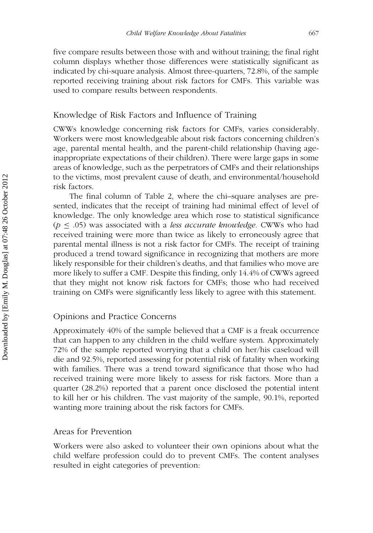five compare results between those with and without training; the final right column displays whether those differences were statistically significant as indicated by chi-square analysis. Almost three-quarters, 72.8%, of the sample reported receiving training about risk factors for CMFs. This variable was used to compare results between respondents.

## Knowledge of Risk Factors and Influence of Training

CWWs knowledge concerning risk factors for CMFs, varies considerably. Workers were most knowledgeable about risk factors concerning children's age, parental mental health, and the parent-child relationship (having ageinappropriate expectations of their children). There were large gaps in some areas of knowledge, such as the perpetrators of CMFs and their relationships to the victims, most prevalent cause of death, and environmental/household risk factors.

The final column of Table 2, where the chi–square analyses are presented, indicates that the receipt of training had minimal effect of level of knowledge. The only knowledge area which rose to statistical significance  $(p \leq .05)$  was associated with a less accurate knowledge. CWWs who had received training were more than twice as likely to erroneously agree that parental mental illness is not a risk factor for CMFs. The receipt of training produced a trend toward significance in recognizing that mothers are more likely responsible for their children's deaths, and that families who move are more likely to suffer a CMF. Despite this finding, only 14.4% of CWWs agreed that they might not know risk factors for CMFs; those who had received training on CMFs were significantly less likely to agree with this statement.

## Opinions and Practice Concerns

Approximately 40% of the sample believed that a CMF is a freak occurrence that can happen to any children in the child welfare system. Approximately 72% of the sample reported worrying that a child on her/his caseload will die and 92.5%, reported assessing for potential risk of fatality when working with families. There was a trend toward significance that those who had received training were more likely to assess for risk factors. More than a quarter (28.2%) reported that a parent once disclosed the potential intent to kill her or his children. The vast majority of the sample, 90.1%, reported wanting more training about the risk factors for CMFs.

## Areas for Prevention

Workers were also asked to volunteer their own opinions about what the child welfare profession could do to prevent CMFs. The content analyses resulted in eight categories of prevention: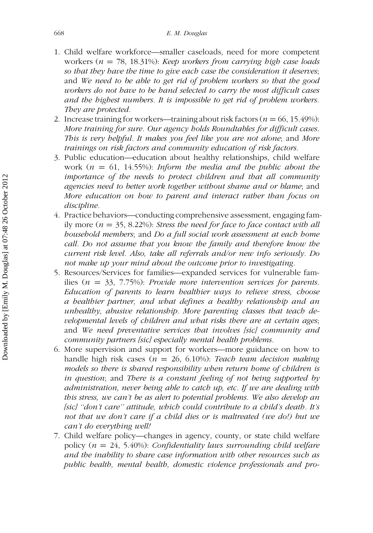- 1. Child welfare workforce—smaller caseloads, need for more competent workers ( $n = 78$ , 18.31%): Keep workers from carrying high case loads so that they have the time to give each case the consideration it deserves; and We need to be able to get rid of problem workers so that the good workers do not have to be hand selected to carry the most difficult cases and the highest numbers. It is impossible to get rid of problem workers. They are protected.
- 2. Increase training for workers—training about risk factors ( $n = 66, 15.49\%$ ): More training for sure. Our agency holds Roundtables for difficult cases. This is very helpful. It makes you feel like you are not alone; and More trainings on risk factors and community education of risk factors.
- 3. Public education—education about healthy relationships, child welfare work ( $n = 61$ , 14.55%): Inform the media and the public about the importance of the needs to protect children and that all community agencies need to better work together without shame and or blame; and More education on how to parent and interact rather than focus on discipline.
- 4. Practice behaviors—conducting comprehensive assessment, engaging family more ( $n = 35$ , 8.22%): Stress the need for face to face contact with all household members; and Do a full social work assessment at each home call. Do not assume that you know the family and therefore know the current risk level. Also, take all referrals and/or new info seriously. Do not make up your mind about the outcome prior to investigating.
- 5. Resources/Services for families—expanded services for vulnerable families ( $n = 33$ , 7.75%): Provide more intervention services for parents. Education of parents to learn healthier ways to relieve stress, choose a healthier partner, and what defines a healthy relationship and an unhealthy, abusive relationship. More parenting classes that teach developmental levels of children and what risks there are at certain ages; and We need preventative services that involves [sic] community and community partners [sic] especially mental health problems.
- 6. More supervision and support for workers—more guidance on how to handle high risk cases ( $n = 26$ , 6.10%): Teach team decision making models so there is shared responsibility when return home of children is in question; and There is a constant feeling of not being supported by administration, never being able to catch up, etc. If we are dealing with this stress, we can't be as alert to potential problems. We also develop an [sic] ''don't care'' attitude, which could contribute to a child's death. It's not that we don't care if a child dies or is maltreated (we do!) but we can't do everything well!
- 7. Child welfare policy—changes in agency, county, or state child welfare policy ( $n = 24$ , 5.40%): Confidentiality laws surrounding child welfare and the inability to share case information with other resources such as public health, mental health, domestic violence professionals and pro-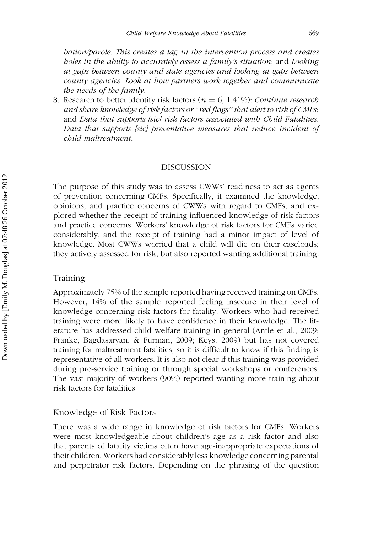bation/parole. This creates a lag in the intervention process and creates holes in the ability to accurately assess a family's situation; and Looking at gaps between county and state agencies and looking at gaps between county agencies. Look at how partners work together and communicate the needs of the family.

8. Research to better identify risk factors ( $n = 6, 1.41\%$ ): Continue research and share knowledge of risk factors or ''red flags'' that alert to risk of CMFs; and Data that supports [sic] risk factors associated with Child Fatalities. Data that supports [sic] preventative measures that reduce incident of child maltreatment.

## DISCUSSION

The purpose of this study was to assess CWWs' readiness to act as agents of prevention concerning CMFs. Specifically, it examined the knowledge, opinions, and practice concerns of CWWs with regard to CMFs, and explored whether the receipt of training influenced knowledge of risk factors and practice concerns. Workers' knowledge of risk factors for CMFs varied considerably, and the receipt of training had a minor impact of level of knowledge. Most CWWs worried that a child will die on their caseloads; they actively assessed for risk, but also reported wanting additional training.

## Training

Approximately 75% of the sample reported having received training on CMFs. However, 14% of the sample reported feeling insecure in their level of knowledge concerning risk factors for fatality. Workers who had received training were more likely to have confidence in their knowledge. The literature has addressed child welfare training in general (Antle et al., 2009; Franke, Bagdasaryan, & Furman, 2009; Keys, 2009) but has not covered training for maltreatment fatalities, so it is difficult to know if this finding is representative of all workers. It is also not clear if this training was provided during pre-service training or through special workshops or conferences. The vast majority of workers (90%) reported wanting more training about risk factors for fatalities.

## Knowledge of Risk Factors

There was a wide range in knowledge of risk factors for CMFs. Workers were most knowledgeable about children's age as a risk factor and also that parents of fatality victims often have age-inappropriate expectations of their children. Workers had considerably less knowledge concerning parental and perpetrator risk factors. Depending on the phrasing of the question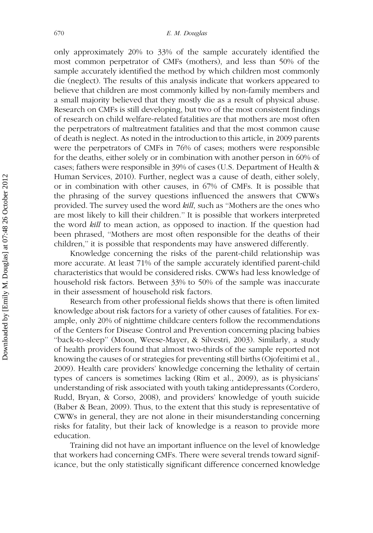only approximately 20% to 33% of the sample accurately identified the most common perpetrator of CMFs (mothers), and less than 50% of the sample accurately identified the method by which children most commonly die (neglect). The results of this analysis indicate that workers appeared to believe that children are most commonly killed by non-family members and a small majority believed that they mostly die as a result of physical abuse. Research on CMFs is still developing, but two of the most consistent findings of research on child welfare-related fatalities are that mothers are most often the perpetrators of maltreatment fatalities and that the most common cause of death is neglect. As noted in the introduction to this article, in 2009 parents were the perpetrators of CMFs in 76% of cases; mothers were responsible for the deaths, either solely or in combination with another person in 60% of cases; fathers were responsible in 39% of cases (U.S. Department of Health & Human Services, 2010). Further, neglect was a cause of death, either solely, or in combination with other causes, in 67% of CMFs. It is possible that the phrasing of the survey questions influenced the answers that CWWs provided. The survey used the word kill, such as ''Mothers are the ones who are most likely to kill their children.'' It is possible that workers interpreted the word kill to mean action, as opposed to inaction. If the question had been phrased, ''Mothers are most often responsible for the deaths of their children,'' it is possible that respondents may have answered differently.

Knowledge concerning the risks of the parent-child relationship was more accurate. At least 71% of the sample accurately identified parent-child characteristics that would be considered risks. CWWs had less knowledge of household risk factors. Between 33% to 50% of the sample was inaccurate in their assessment of household risk factors.

Research from other professional fields shows that there is often limited knowledge about risk factors for a variety of other causes of fatalities. For example, only 20% of nighttime childcare centers follow the recommendations of the Centers for Disease Control and Prevention concerning placing babies ''back-to-sleep'' (Moon, Weese-Mayer, & Silvestri, 2003). Similarly, a study of health providers found that almost two-thirds of the sample reported not knowing the causes of or strategies for preventing still births (Ojofeitimi et al., 2009). Health care providers' knowledge concerning the lethality of certain types of cancers is sometimes lacking (Rim et al., 2009), as is physicians' understanding of risk associated with youth taking antidepressants (Cordero, Rudd, Bryan, & Corso, 2008), and providers' knowledge of youth suicide (Baber & Bean, 2009). Thus, to the extent that this study is representative of CWWs in general, they are not alone in their misunderstanding concerning risks for fatality, but their lack of knowledge is a reason to provide more education.

Training did not have an important influence on the level of knowledge that workers had concerning CMFs. There were several trends toward significance, but the only statistically significant difference concerned knowledge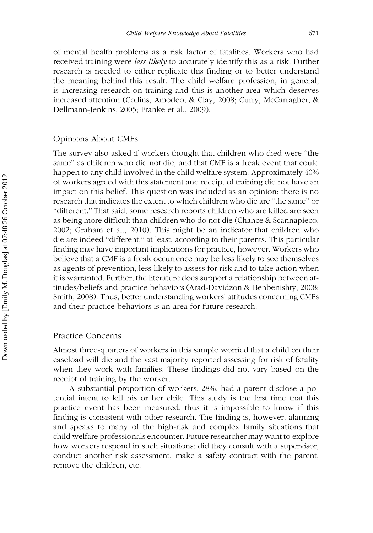of mental health problems as a risk factor of fatalities. Workers who had received training were *less likely* to accurately identify this as a risk. Further research is needed to either replicate this finding or to better understand the meaning behind this result. The child welfare profession, in general, is increasing research on training and this is another area which deserves increased attention (Collins, Amodeo, & Clay, 2008; Curry, McCarragher, & Dellmann-Jenkins, 2005; Franke et al., 2009).

## Opinions About CMFs

The survey also asked if workers thought that children who died were ''the same'' as children who did not die, and that CMF is a freak event that could happen to any child involved in the child welfare system. Approximately 40% of workers agreed with this statement and receipt of training did not have an impact on this belief. This question was included as an opinion; there is no research that indicates the extent to which children who die are ''the same'' or ''different.'' That said, some research reports children who are killed are seen as being more difficult than children who do not die (Chance & Scannapieco, 2002; Graham et al., 2010). This might be an indicator that children who die are indeed ''different,'' at least, according to their parents. This particular finding may have important implications for practice, however. Workers who believe that a CMF is a freak occurrence may be less likely to see themselves as agents of prevention, less likely to assess for risk and to take action when it is warranted. Further, the literature does support a relationship between attitudes/beliefs and practice behaviors (Arad-Davidzon & Benbenishty, 2008; Smith, 2008). Thus, better understanding workers' attitudes concerning CMFs and their practice behaviors is an area for future research.

### Practice Concerns

Almost three-quarters of workers in this sample worried that a child on their caseload will die and the vast majority reported assessing for risk of fatality when they work with families. These findings did not vary based on the receipt of training by the worker.

A substantial proportion of workers, 28%, had a parent disclose a potential intent to kill his or her child. This study is the first time that this practice event has been measured, thus it is impossible to know if this finding is consistent with other research. The finding is, however, alarming and speaks to many of the high-risk and complex family situations that child welfare professionals encounter. Future researcher may want to explore how workers respond in such situations: did they consult with a supervisor, conduct another risk assessment, make a safety contract with the parent, remove the children, etc.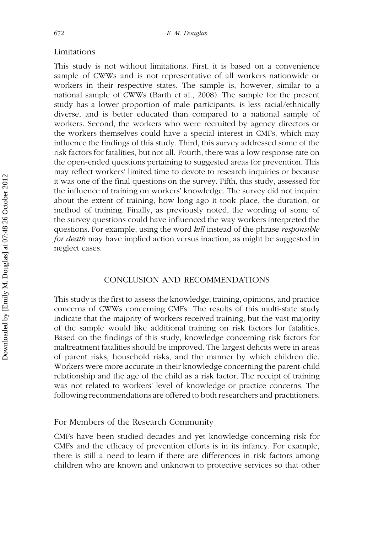## Limitations

This study is not without limitations. First, it is based on a convenience sample of CWWs and is not representative of all workers nationwide or workers in their respective states. The sample is, however, similar to a national sample of CWWs (Barth et al., 2008). The sample for the present study has a lower proportion of male participants, is less racial/ethnically diverse, and is better educated than compared to a national sample of workers. Second, the workers who were recruited by agency directors or the workers themselves could have a special interest in CMFs, which may influence the findings of this study. Third, this survey addressed some of the risk factors for fatalities, but not all. Fourth, there was a low response rate on the open-ended questions pertaining to suggested areas for prevention. This may reflect workers' limited time to devote to research inquiries or because it was one of the final questions on the survey. Fifth, this study, assessed for the influence of training on workers' knowledge. The survey did not inquire about the extent of training, how long ago it took place, the duration, or method of training. Finally, as previously noted, the wording of some of the survey questions could have influenced the way workers interpreted the questions. For example, using the word *kill* instead of the phrase *responsible* for death may have implied action versus inaction, as might be suggested in neglect cases.

## CONCLUSION AND RECOMMENDATIONS

This study is the first to assess the knowledge, training, opinions, and practice concerns of CWWs concerning CMFs. The results of this multi-state study indicate that the majority of workers received training, but the vast majority of the sample would like additional training on risk factors for fatalities. Based on the findings of this study, knowledge concerning risk factors for maltreatment fatalities should be improved. The largest deficits were in areas of parent risks, household risks, and the manner by which children die. Workers were more accurate in their knowledge concerning the parent-child relationship and the age of the child as a risk factor. The receipt of training was not related to workers' level of knowledge or practice concerns. The following recommendations are offered to both researchers and practitioners.

## For Members of the Research Community

CMFs have been studied decades and yet knowledge concerning risk for CMFs and the efficacy of prevention efforts is in its infancy. For example, there is still a need to learn if there are differences in risk factors among children who are known and unknown to protective services so that other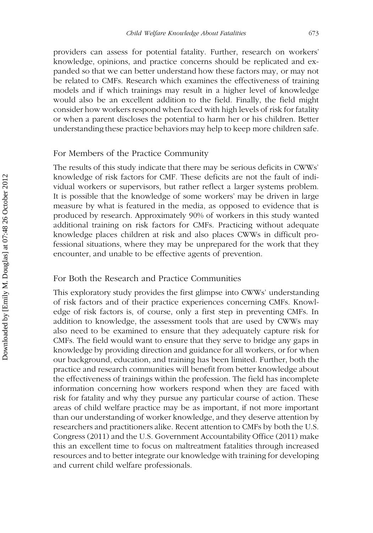providers can assess for potential fatality. Further, research on workers' knowledge, opinions, and practice concerns should be replicated and expanded so that we can better understand how these factors may, or may not be related to CMFs. Research which examines the effectiveness of training models and if which trainings may result in a higher level of knowledge would also be an excellent addition to the field. Finally, the field might consider how workers respond when faced with high levels of risk for fatality or when a parent discloses the potential to harm her or his children. Better understanding these practice behaviors may help to keep more children safe.

## For Members of the Practice Community

The results of this study indicate that there may be serious deficits in CWWs' knowledge of risk factors for CMF. These deficits are not the fault of individual workers or supervisors, but rather reflect a larger systems problem. It is possible that the knowledge of some workers' may be driven in large measure by what is featured in the media, as opposed to evidence that is produced by research. Approximately 90% of workers in this study wanted additional training on risk factors for CMFs. Practicing without adequate knowledge places children at risk and also places CWWs in difficult professional situations, where they may be unprepared for the work that they encounter, and unable to be effective agents of prevention.

## For Both the Research and Practice Communities

This exploratory study provides the first glimpse into CWWs' understanding of risk factors and of their practice experiences concerning CMFs. Knowledge of risk factors is, of course, only a first step in preventing CMFs. In addition to knowledge, the assessment tools that are used by CWWs may also need to be examined to ensure that they adequately capture risk for CMFs. The field would want to ensure that they serve to bridge any gaps in knowledge by providing direction and guidance for all workers, or for when our background, education, and training has been limited. Further, both the practice and research communities will benefit from better knowledge about the effectiveness of trainings within the profession. The field has incomplete information concerning how workers respond when they are faced with risk for fatality and why they pursue any particular course of action. These areas of child welfare practice may be as important, if not more important than our understanding of worker knowledge, and they deserve attention by researchers and practitioners alike. Recent attention to CMFs by both the U.S. Congress (2011) and the U.S. Government Accountability Office (2011) make this an excellent time to focus on maltreatment fatalities through increased resources and to better integrate our knowledge with training for developing and current child welfare professionals.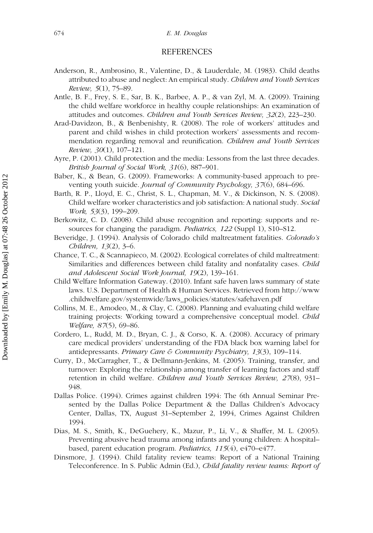## REFERENCES

- Anderson, R., Ambrosino, R., Valentine, D., & Lauderdale, M. (1983). Child deaths attributed to abuse and neglect: An empirical study. Children and Youth Services Review, 5(1), 75–89.
- Antle, B. F., Frey, S. E., Sar, B. K., Barbee, A. P., & van Zyl, M. A. (2009). Training the child welfare workforce in healthy couple relationships: An examination of attitudes and outcomes. Children and Youth Services Review, 32(2), 223–230.
- Arad-Davidzon, B., & Benbenishty, R. (2008). The role of workers' attitudes and parent and child wishes in child protection workers' assessments and recommendation regarding removal and reunification. Children and Youth Services Review, 30(1), 107–121.
- Ayre, P. (2001). Child protection and the media: Lessons from the last three decades. British Journal of Social Work, 31(6), 887–901.
- Baber, K., & Bean, G. (2009). Frameworks: A community-based approach to preventing youth suicide. Journal of Community Psychology, 37(6), 684–696.
- Barth, R. P., Lloyd, E. C., Christ, S. L., Chapman, M. V., & Dickinson, N. S. (2008). Child welfare worker characteristics and job satisfaction: A national study. Social Work, 53(3), 199–209.
- Berkowitz, C. D. (2008). Child abuse recognition and reporting: supports and resources for changing the paradigm. Pediatrics, 122 (Suppl 1), S10–S12.
- Beveridge, J. (1994). Analysis of Colorado child maltreatment fatalities. Colorado's Children, 13(2), 3–6.
- Chance, T. C., & Scannapieco, M. (2002). Ecological correlates of child maltreatment: Similarities and differences between child fatality and nonfatality cases. Child and Adolescent Social Work Journal, 19(2), 139–161.
- Child Welfare Information Gateway. (2010). Infant safe haven laws summary of state laws. U.S. Department of Health & Human Services. Retrieved from http://www .childwelfare.gov/systemwide/laws\_policies/statutes/safehaven.pdf
- Collins, M. E., Amodeo, M., & Clay, C. (2008). Planning and evaluating child welfare training projects: Working toward a comprehensive conceptual model. Child Welfare, 87(5), 69–86.
- Cordero, L., Rudd, M. D., Bryan, C. J., & Corso, K. A. (2008). Accuracy of primary care medical providers' understanding of the FDA black box warning label for antidepressants. Primary Care & Community Psychiatry, 13(3), 109–114.
- Curry, D., McCarragher, T., & Dellmann-Jenkins, M. (2005). Training, transfer, and turnover: Exploring the relationship among transfer of learning factors and staff retention in child welfare. Children and Youth Services Review, 27(8), 931-948.
- Dallas Police. (1994). Crimes against children 1994: The 6th Annual Seminar Presented by the Dallas Police Department & the Dallas Children's Advocacy Center, Dallas, TX, August 31–September 2, 1994, Crimes Against Children 1994.
- Dias, M. S., Smith, K., DeGuehery, K., Mazur, P., Li, V., & Shaffer, M. L. (2005). Preventing abusive head trauma among infants and young children: A hospital– based, parent education program. Pediatrics, 115(4), e470–e477.
- Dinsmore, J. (1994). Child fatality review teams: Report of a National Training Teleconference. In S. Public Admin (Ed.), Child fatality review teams: Report of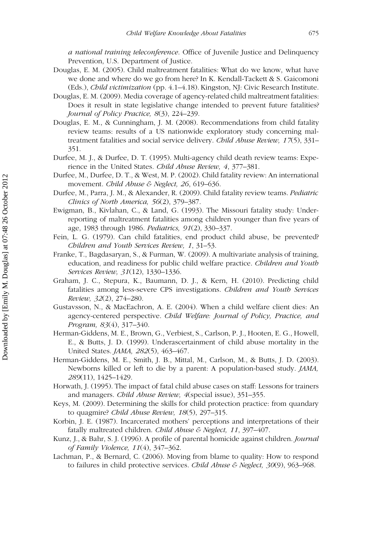a national training teleconference. Office of Juvenile Justice and Delinquency Prevention, U.S. Department of Justice.

- Douglas, E. M. (2005). Child maltreatment fatalities: What do we know, what have we done and where do we go from here? In K. Kendall-Tackett & S. Gaicomoni (Eds.), Child victimization (pp. 4.1–4.18). Kingston, NJ: Civic Research Institute.
- Douglas, E. M. (2009). Media coverage of agency-related child maltreatment fatalities: Does it result in state legislative change intended to prevent future fatalities? Journal of Policy Practice, 8(3), 224–239.
- Douglas, E. M., & Cunningham, J. M. (2008). Recommendations from child fatality review teams: results of a US nationwide exploratory study concerning maltreatment fatalities and social service delivery. Child Abuse Review, 17(5), 331– 351.
- Durfee, M. J., & Durfee, D. T. (1995). Multi-agency child death review teams: Experience in the United States. Child Abuse Review, 4, 377-381.
- Durfee, M., Durfee, D. T., & West, M. P. (2002). Child fatality review: An international movement. *Child Abuse & Neglect*, 26, 619–636.
- Durfee, M., Parra, J. M., & Alexander, R. (2009). Child fatality review teams. Pediatric Clinics of North America, 56(2), 379–387.
- Ewigman, B., Kivlahan, C., & Land, G. (1993). The Missouri fatality study: Underreporting of maltreatment fatalities among children younger than five years of age, 1983 through 1986. Pediatrics, 91(2), 330–337.
- Fein, L. G. (1979). Can child fatalities, end product child abuse, be prevented? Children and Youth Services Review, 1, 31–53.
- Franke, T., Bagdasaryan, S., & Furman, W. (2009). A multivariate analysis of training, education, and readiness for public child welfare practice. Children and Youth Services Review, 31(12), 1330–1336.
- Graham, J. C., Stepura, K., Baumann, D. J., & Kern, H. (2010). Predicting child fatalities among less-severe CPS investigations. Children and Youth Services Review, 32(2), 274–280.
- Gustavsson, N., & MacEachron, A. E. (2004). When a child welfare client dies: An agency-centered perspective. Child Welfare: Journal of Policy, Practice, and Program, 83(4), 317–340.
- Herman-Giddens, M. E., Brown, G., Verbiest, S., Carlson, P. J., Hooten, E. G., Howell, E., & Butts, J. D. (1999). Underascertainment of child abuse mortality in the United States. JAMA, 282(5), 463–467.
- Herman-Giddens, M. E., Smith, J. B., Mittal, M., Carlson, M., & Butts, J. D. (2003). Newborns killed or left to die by a parent: A population-based study. JAMA, 289(11), 1425–1429.
- Horwath, J. (1995). The impact of fatal child abuse cases on staff: Lessons for trainers and managers. Child Abuse Review, 4(special issue), 351-355.
- Keys, M. (2009). Determining the skills for child protection practice: from quandary to quagmire? Child Abuse Review, 18(5), 297–315.
- Korbin, J. E. (1987). Incarcerated mothers' perceptions and interpretations of their fatally maltreated children. Child Abuse & Neglect, 11, 397–407.
- Kunz, J., & Bahr, S. J. (1996). A profile of parental homicide against children. Journal of Family Violence, 11(4), 347–362.
- Lachman, P., & Bernard, C. (2006). Moving from blame to quality: How to respond to failures in child protective services. Child Abuse & Neglect,  $30(9)$ ,  $963-968$ .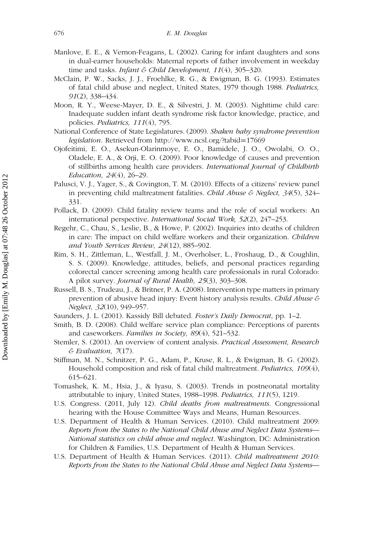- Manlove, E. E., & Vernon-Feagans, L. (2002). Caring for infant daughters and sons in dual-earner households: Maternal reports of father involvement in weekday time and tasks. Infant & Child Development, 11(4), 305-320.
- McClain, P. W., Sacks, J. J., Froehlke, R. G., & Ewigman, B. G. (1993). Estimates of fatal child abuse and neglect, United States, 1979 though 1988. Pediatrics, 91(2), 338–434.
- Moon, R. Y., Weese-Mayer, D. E., & Silvestri, J. M. (2003). Nighttime child care: Inadequate sudden infant death syndrome risk factor knowledge, practice, and policies. Pediatrics, 111(4), 795.
- National Conference of State Legislatures. (2009). Shaken baby syndrome prevention legislation. Retrieved from http://www.ncsl.org/?tabid=17669
- Ojofeitimi, E. O., Asekun-Olarinmoye, E. O., Bamidele, J. O., Owolabi, O. O., Oladele, E. A., & Orji, E. O. (2009). Poor knowledge of causes and prevention of stillbirths among health care providers. International Journal of Childbirth Education, 24(4), 26–29.
- Palusci, V. J., Yager, S., & Covington, T. M. (2010). Effects of a citizens' review panel in preventing child maltreatment fatalities. Child Abuse & Neglect, 34(5), 324– 331.
- Pollack, D. (2009). Child fatality review teams and the role of social workers: An international perspective. International Social Work, 52(2), 247–253.
- Regehr, C., Chau, S., Leslie, B., & Howe, P. (2002). Inquiries into deaths of children in care: The impact on child welfare workers and their organization. Children and Youth Services Review, 24(12), 885–902.
- Rim, S. H., Zittleman, L., Westfall, J. M., Overholser, L., Froshaug, D., & Coughlin, S. S. (2009). Knowledge, attitudes, beliefs, and personal practices regarding colorectal cancer screening among health care professionals in rural Colorado: A pilot survey. Journal of Rural Health, 25(3), 303–308.
- Russell, B. S., Trudeau, J., & Britner, P. A. (2008). Intervention type matters in primary prevention of abusive head injury: Event history analysis results. Child Abuse & Neglect, 32(10), 949–957.
- Saunders, J. L. (2001). Kassidy Bill debated. Foster's Daily Democrat, pp. 1–2.
- Smith, B. D. (2008). Child welfare service plan compliance: Perceptions of parents and caseworkers. Families in Society, 89(4), 521–532.
- Stemler, S. (2001). An overview of content analysis. Practical Assessment, Research & Evaluation, 7(17).
- Stiffman, M. N., Schnitzer, P. G., Adam, P., Kruse, R. L., & Ewigman, B. G. (2002). Household composition and risk of fatal child maltreatment. Pediatrics, 109(4), 615–621.
- Tomashek, K. M., Hsia, J., & Iyasu, S. (2003). Trends in postneonatal mortality attributable to injury, United States, 1988-1998. Pediatrics, 111(5), 1219.
- U.S. Congress. (2011, July 12). Child deaths from maltreatments. Congressional hearing with the House Committee Ways and Means, Human Resources.
- U.S. Department of Health & Human Services. (2010). Child maltreatment 2009: Reports from the States to the National Child Abuse and Neglect Data Systems— National statistics on child abuse and neglect. Washington, DC: Administration for Children & Families, U.S. Department of Health & Human Services.
- U.S. Department of Health & Human Services. (2011). Child maltreatment 2010: Reports from the States to the National Child Abuse and Neglect Data Systems—